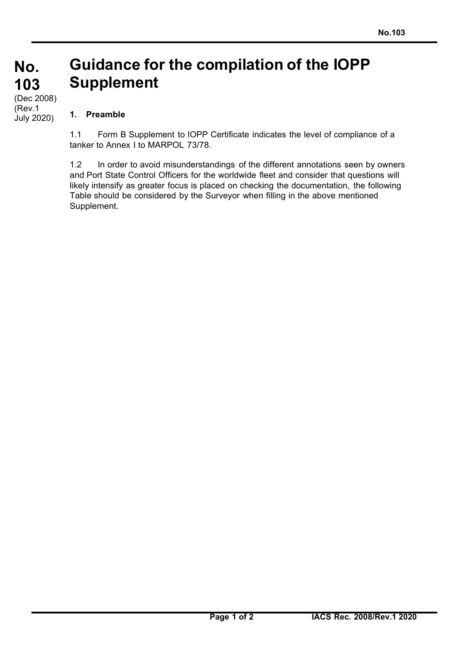## **Guidance for the compilation of the IOPP Supplement No. 103**

## (Dec 2008) (Rev.1 July 2020)

## **1. Preamble**

1.1 Form B Supplement to IOPP Certificate indicates the level of compliance of a tanker to Annex I to MARPOL 73/78.

1.2 In order to avoid misunderstandings of the different annotations seen by owners and Port State Control Officers for the worldwide fleet and consider that questions will likely intensify as greater focus is placed on checking the documentation, the following Table should be considered by the Surveyor when filling in the above mentioned Supplement.